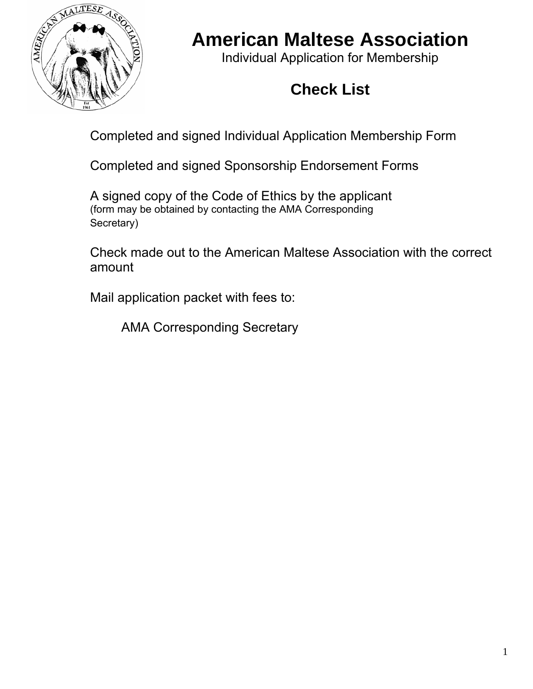

# **American Maltese Association**

Individual Application for Membership

# **Check List**

Completed and signed Individual Application Membership Form

Completed and signed Sponsorship Endorsement Forms

A signed copy of the Code of Ethics by the applicant (form may be obtained by contacting the AMA Corresponding Secretary)

Check made out to the American Maltese Association with the correct amount

Mail application packet with fees to:

AMA Corresponding Secretary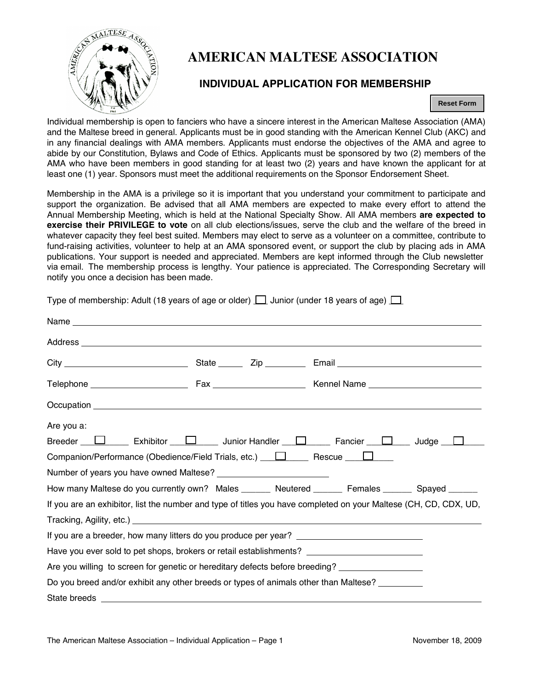

## **AMERICAN MALTESE ASSOCIATION**

## **INDIVIDUAL APPLICATION FOR MEMBERSHIP**

**Reset Form**

Individual membership is open to fanciers who have a sincere interest in the American Maltese Association (AMA) and the Maltese breed in general. Applicants must be in good standing with the American Kennel Club (AKC) and in any financial dealings with AMA members. Applicants must endorse the objectives of the AMA and agree to abide by our Constitution, Bylaws and Code of Ethics. Applicants must be sponsored by two (2) members of the AMA who have been members in good standing for at least two (2) years and have known the applicant for at least one (1) year. Sponsors must meet the additional requirements on the Sponsor Endorsement Sheet.

Membership in the AMA is a privilege so it is important that you understand your commitment to participate and support the organization. Be advised that all AMA members are expected to make every effort to attend the Annual Membership Meeting, which is held at the National Specialty Show. All AMA members **are expected to exercise their PRIVILEGE to vote** on all club elections/issues, serve the club and the welfare of the breed in whatever capacity they feel best suited. Members may elect to serve as a volunteer on a committee, contribute to fund-raising activities, volunteer to help at an AMA sponsored event, or support the club by placing ads in AMA publications. Your support is needed and appreciated. Members are kept informed through the Club newsletter via email. The membership process is lengthy. Your patience is appreciated. The Corresponding Secretary will notify you once a decision has been made.

Type of membership: Adult (18 years of age or older)  $\Box$  Junior (under 18 years of age)  $\Box$ 

| Address Address Address Address Address Address Address Address Address Address Address Address Address Address Address Address Address Address Address Address Address Address Address Address Address Address Address Addres |  |  |                                                                                                                                                                                                                               |  |
|--------------------------------------------------------------------------------------------------------------------------------------------------------------------------------------------------------------------------------|--|--|-------------------------------------------------------------------------------------------------------------------------------------------------------------------------------------------------------------------------------|--|
|                                                                                                                                                                                                                                |  |  |                                                                                                                                                                                                                               |  |
|                                                                                                                                                                                                                                |  |  |                                                                                                                                                                                                                               |  |
|                                                                                                                                                                                                                                |  |  | Occupation experience and the contract of the contract of the contract of the contract of the contract of the contract of the contract of the contract of the contract of the contract of the contract of the contract of the |  |
| Are you a:                                                                                                                                                                                                                     |  |  |                                                                                                                                                                                                                               |  |
| Breeder $\Box$ Exhibitor $\Box$ Junior Handler $\Box$ Fancier $\Box$ Judge $\Box$                                                                                                                                              |  |  |                                                                                                                                                                                                                               |  |
| Companion/Performance (Obedience/Field Trials, etc.) $\Box$ Rescue $\Box$                                                                                                                                                      |  |  |                                                                                                                                                                                                                               |  |
|                                                                                                                                                                                                                                |  |  |                                                                                                                                                                                                                               |  |
| How many Maltese do you currently own? Males _______ Neutered _______ Females _______ Spayed ______                                                                                                                            |  |  |                                                                                                                                                                                                                               |  |
| If you are an exhibitor, list the number and type of titles you have completed on your Maltese (CH, CD, CDX, UD,                                                                                                               |  |  |                                                                                                                                                                                                                               |  |
|                                                                                                                                                                                                                                |  |  |                                                                                                                                                                                                                               |  |
|                                                                                                                                                                                                                                |  |  |                                                                                                                                                                                                                               |  |
| Have you ever sold to pet shops, brokers or retail establishments? ________________________________                                                                                                                            |  |  |                                                                                                                                                                                                                               |  |
| Are you willing to screen for genetic or hereditary defects before breeding? ______________________                                                                                                                            |  |  |                                                                                                                                                                                                                               |  |
| Do you breed and/or exhibit any other breeds or types of animals other than Maltese? _________                                                                                                                                 |  |  |                                                                                                                                                                                                                               |  |
|                                                                                                                                                                                                                                |  |  |                                                                                                                                                                                                                               |  |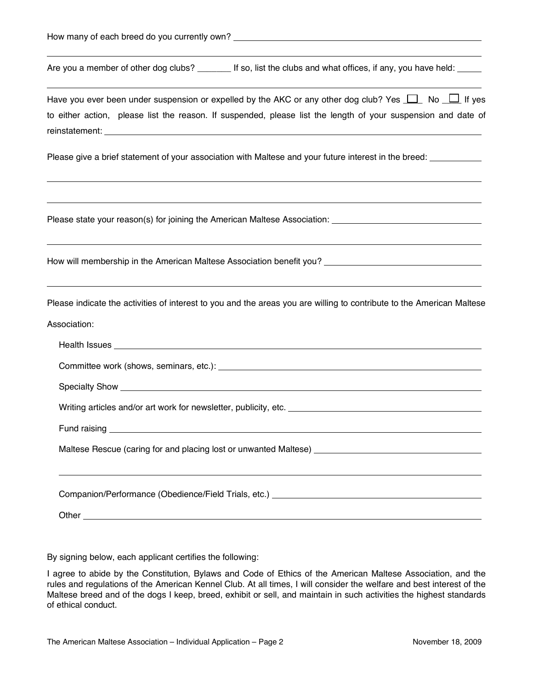By signing below, each applicant certifies the following:

I agree to abide by the Constitution, Bylaws and Code of Ethics of the American Maltese Association, and the rules and regulations of the American Kennel Club. At all times, I will consider the welfare and best interest of the Maltese breed and of the dogs I keep, breed, exhibit or sell, and maintain in such activities the highest standards of ethical conduct.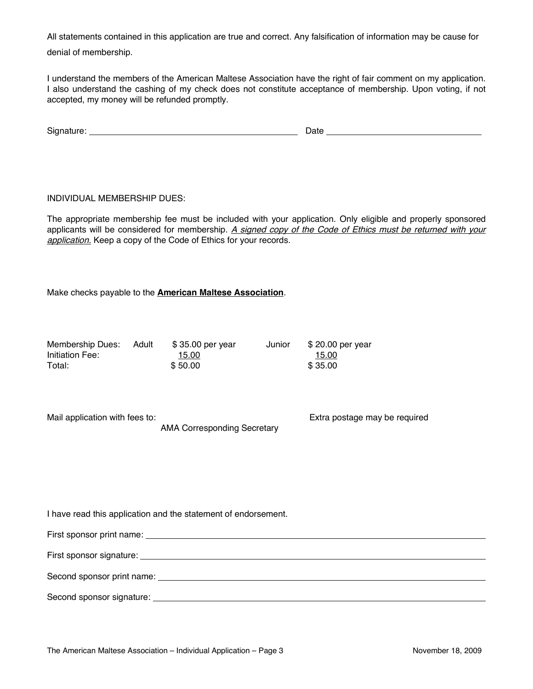All statements contained in this application are true and correct. Any falsification of information may be cause for denial of membership.

I understand the members of the American Maltese Association have the right of fair comment on my application. I also understand the cashing of my check does not constitute acceptance of membership. Upon voting, if not accepted, my money will be refunded promptly.

| Signature: | Date |
|------------|------|
|            |      |

### INDIVIDUAL MEMBERSHIP DUES:

The appropriate membership fee must be included with your application. Only eligible and properly sponsored applicants will be considered for membership. A signed copy of the Code of Ethics must be returned with your application. Keep a copy of the Code of Ethics for your records.

Make checks payable to the **American Maltese Association**.

| Membership Dues: | Adult | \$35.00 per year | Junior | \$20.00 per year |
|------------------|-------|------------------|--------|------------------|
| Initiation Fee:  |       | 15.00            |        | 15.00            |
| Total:           |       | \$50.00          |        | \$35.00          |

AMA Corresponding Secretary

Mail application with fees to: extra postage may be required

I have read this application and the statement of endorsement.

First sponsor print name:

First sponsor signature:

Second sponsor print name:  $\frac{1}{2}$  and  $\frac{1}{2}$  and  $\frac{1}{2}$  and  $\frac{1}{2}$  and  $\frac{1}{2}$  and  $\frac{1}{2}$  and  $\frac{1}{2}$  and  $\frac{1}{2}$  and  $\frac{1}{2}$  and  $\frac{1}{2}$  and  $\frac{1}{2}$  and  $\frac{1}{2}$  and  $\frac{1}{2}$  and  $\frac{1}{2}$  and

Second sponsor signature: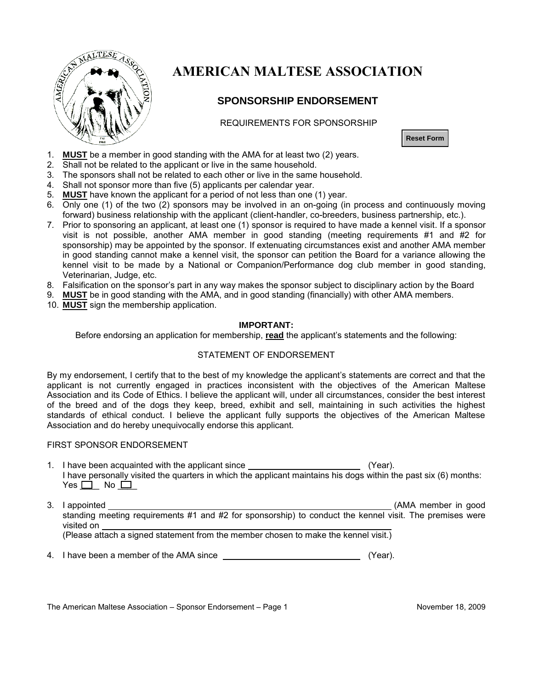

## **AMERICAN MALTESE ASSOCIATION**

## **SPONSORSHIP ENDORSEMENT**

REQUIREMENTS FOR SPONSORSHIP

**Reset Form**

- 1. **MUST** be a member in good standing with the AMA for at least two (2) years.
- 2. Shall not be related to the applicant or live in the same household.
- 3. The sponsors shall not be related to each other or live in the same household.
- 4. Shall not sponsor more than five (5) applicants per calendar year.
- 5. **MUST** have known the applicant for a period of not less than one (1) year.
- 6. Only one (1) of the two (2) sponsors may be involved in an on-going (in process and continuously moving forward) business relationship with the applicant (client-handler, co-breeders, business partnership, etc.).
- 7. Prior to sponsoring an applicant, at least one (1) sponsor is required to have made a kennel visit. If a sponsor visit is not possible, another AMA member in good standing (meeting requirements #1 and #2 for sponsorship) may be appointed by the sponsor. If extenuating circumstances exist and another AMA member in good standing cannot make a kennel visit, the sponsor can petition the Board for a variance allowing the kennel visit to be made by a National or Companion/Performance dog club member in good standing, Veterinarian, Judge, etc.
- 8. Falsification on the sponsor's part in any way makes the sponsor subject to disciplinary action by the Board
- 9. **MUST** be in good standing with the AMA, and in good standing (financially) with other AMA members.
- 10. **MUST** sign the membership application.

### **IMPORTANT:**

Before endorsing an application for membership, **read** the applicant's statements and the following:

## STATEMENT OF ENDORSEMENT

By my endorsement, I certify that to the best of my knowledge the applicant's statements are correct and that the applicant is not currently engaged in practices inconsistent with the objectives of the American Maltese Association and its Code of Ethics. I believe the applicant will, under all circumstances, consider the best interest of the breed and of the dogs they keep, breed, exhibit and sell, maintaining in such activities the highest standards of ethical conduct. I believe the applicant fully supports the objectives of the American Maltese Association and do hereby unequivocally endorse this applicant.

## FIRST SPONSOR ENDORSEMENT

- 1. I have been acquainted with the applicant since \_\_\_\_\_\_\_\_\_\_\_\_\_\_\_\_\_\_\_\_\_\_\_\_\_\_\_\_\_ (Year). I have personally visited the quarters in which the applicant maintains his dogs within the past six (6) months:  $Yes \Box No \Box$
- 3. I appointed (AMA member in good standing meeting requirements #1 and #2 for sponsorship) to conduct the kennel visit. The premises were visited on (Please attach a signed statement from the member chosen to make the kennel visit.)
- 4. I have been a member of the AMA since  $(Year)$ .

The American Maltese Association – Sponsor Endorsement – Page 1 November 18, 2009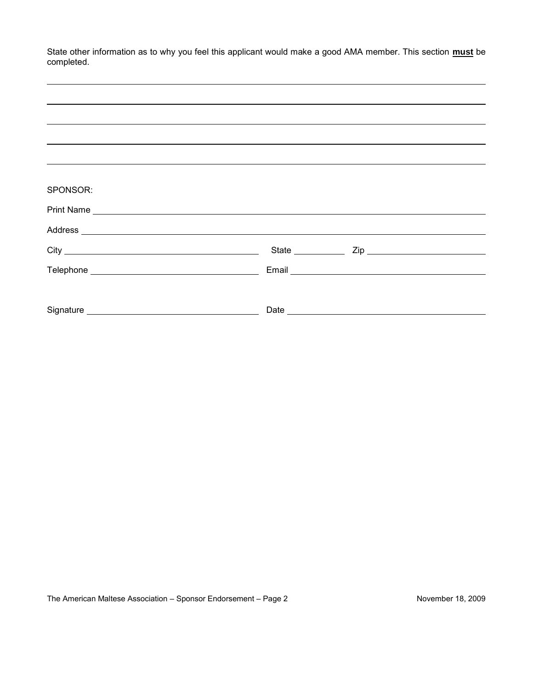| State other information as to why you feel this applicant would make a good AMA member. This section must be<br>completed.                                                                 |  |  |
|--------------------------------------------------------------------------------------------------------------------------------------------------------------------------------------------|--|--|
|                                                                                                                                                                                            |  |  |
|                                                                                                                                                                                            |  |  |
|                                                                                                                                                                                            |  |  |
|                                                                                                                                                                                            |  |  |
|                                                                                                                                                                                            |  |  |
|                                                                                                                                                                                            |  |  |
| SPONSOR:                                                                                                                                                                                   |  |  |
|                                                                                                                                                                                            |  |  |
| Address <b>Address Address Address Address Address Address Address Address Address Address Address Address Address Address Address Address Address Address Address Address Address Add</b> |  |  |
|                                                                                                                                                                                            |  |  |
|                                                                                                                                                                                            |  |  |
|                                                                                                                                                                                            |  |  |
|                                                                                                                                                                                            |  |  |

The American Maltese Association – Sponsor Endorsement – Page 2 November 18, 2009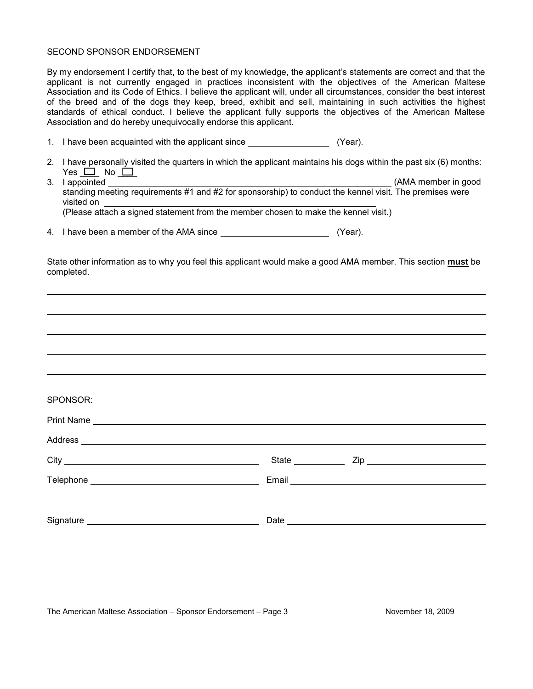#### SECOND SPONSOR ENDORSEMENT

By my endorsement I certify that, to the best of my knowledge, the applicant's statements are correct and that the applicant is not currently engaged in practices inconsistent with the objectives of the American Maltese Association and its Code of Ethics. I believe the applicant will, under all circumstances, consider the best interest of the breed and of the dogs they keep, breed, exhibit and sell, maintaining in such activities the highest standards of ethical conduct. I believe the applicant fully supports the objectives of the American Maltese Association and do hereby unequivocally endorse this applicant.

- 1. I have been acquainted with the applicant since \_\_\_\_\_\_\_\_\_\_\_\_\_\_\_\_\_\_\_\_\_\_\_\_\_\_\_\_\_\_ (Year).
- 2. I have personally visited the quarters in which the applicant maintains his dogs within the past six (6) months: Yes  $\Box$  No  $\Box$
- 3. I appointed (AMA member in good standing meeting requirements #1 and #2 for sponsorship) to conduct the kennel visit. The premises were visited on (Please attach a signed statement from the member chosen to make the kennel visit.)
- 4. I have been a member of the AMA since (Year).

State other information as to why you feel this applicant would make a good AMA member. This section **must** be completed.

| SPONSOR: |  |
|----------|--|
|          |  |
|          |  |
|          |  |
|          |  |
|          |  |
|          |  |